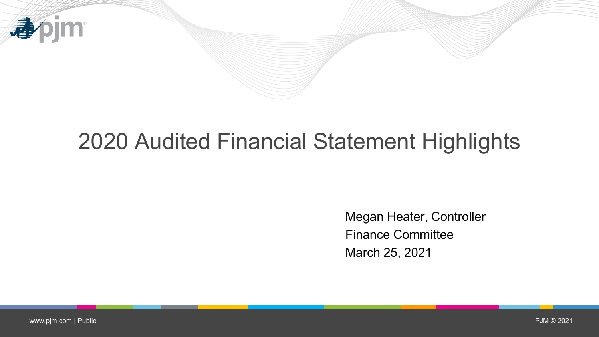

## 2020 Audited Financial Statement Highlights

Megan Heater, Controller Finance Committee March 25, 2021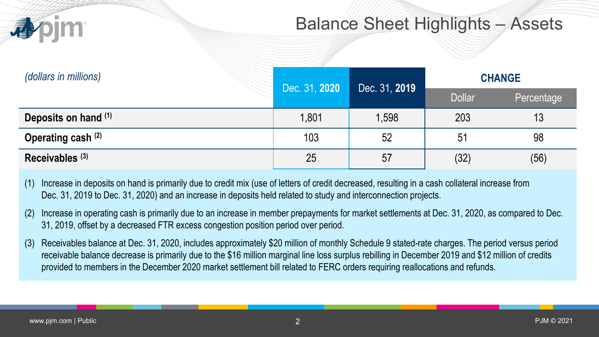

#### Balance Sheet Highlights – Assets

| (dollars in millions)      |               |               | <b>CHANGE</b> |            |
|----------------------------|---------------|---------------|---------------|------------|
|                            | Dec. 31, 2020 | Dec. 31, 2019 | <b>Dollar</b> | Percentage |
| Deposits on hand (1)       | 1,801         | 1,598         | 203           | 13         |
| Operating cash (2)         | 103           | 52            | 51            | 98         |
| Receivables <sup>(3)</sup> | 25            | 57            | (32)          | (56)       |

- (1) Increase in deposits on hand is primarily due to credit mix (use of letters of credit decreased, resulting in a cash collateral increase from Dec. 31, 2019 to Dec. 31, 2020) and an increase in deposits held related to study and interconnection projects.
- (2) Increase in operating cash is primarily due to an increase in member prepayments for market settlements at Dec. 31, 2020, as compared to Dec. 31, 2019, offset by a decreased FTR excess congestion position period over period.
- (3) Receivables balance at Dec. 31, 2020, includes approximately \$20 million of monthly Schedule 9 stated-rate charges. The period versus period receivable balance decrease is primarily due to the \$16 million marginal line loss surplus rebilling in December 2019 and \$12 million of credits provided to members in the December 2020 market settlement bill related to FERC orders requiring reallocations and refunds.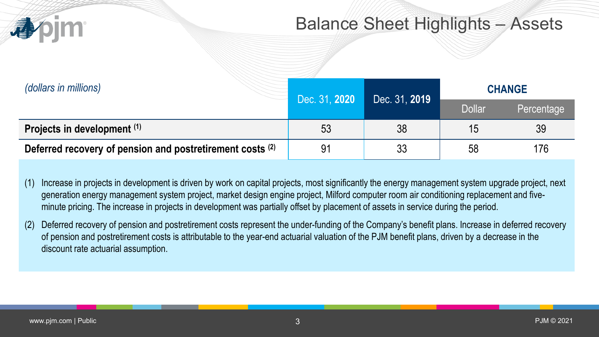

#### Balance Sheet Highlights – Assets

| (dollars in millions)                                     | Dec. 31, 2020 | Dec. 31, 2019 | <b>CHANGE</b> |            |
|-----------------------------------------------------------|---------------|---------------|---------------|------------|
|                                                           |               |               | <b>Dollar</b> | Percentage |
| Projects in development (1)                               | 53            | 38            |               | 39         |
| Deferred recovery of pension and postretirement costs (2) | 91            | 33            | 58            | 176        |

- (1) Increase in projects in development is driven by work on capital projects, most significantly the energy management system upgrade project, next generation energy management system project, market design engine project, Milford computer room air conditioning replacement and fiveminute pricing. The increase in projects in development was partially offset by placement of assets in service during the period.
- (2) Deferred recovery of pension and postretirement costs represent the under-funding of the Company's benefit plans. Increase in deferred recovery of pension and postretirement costs is attributable to the year-end actuarial valuation of the PJM benefit plans, driven by a decrease in the discount rate actuarial assumption.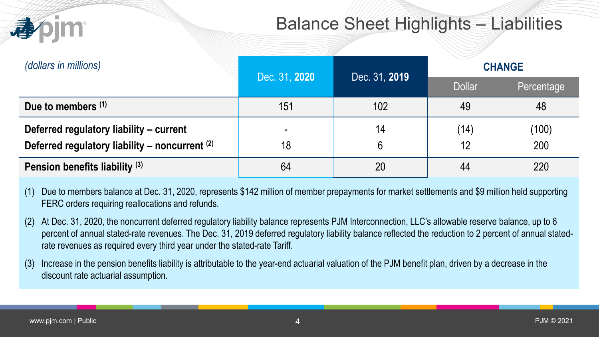

### Balance Sheet Highlights – Liabilities

| (dollars in millions)                          | Dec. 31, 2020<br>Dec. 31, 2019 |     | <b>CHANGE</b> |            |
|------------------------------------------------|--------------------------------|-----|---------------|------------|
|                                                |                                |     | <b>Dollar</b> | Percentage |
| Due to members (1)                             | 151                            | 102 | 49            | 48         |
| Deferred regulatory liability - current        |                                | 14  | (14)          | (100)      |
| Deferred regulatory liability - noncurrent (2) | 18                             | 6   | 12            | 200        |
| Pension benefits liability <sup>(3)</sup>      | 64                             | 20  | 44            | 220        |

(1) Due to members balance at Dec. 31, 2020, represents \$142 million of member prepayments for market settlements and \$9 million held supporting FERC orders requiring reallocations and refunds.

- (2) At Dec. 31, 2020, the noncurrent deferred regulatory liability balance represents PJM Interconnection, LLC's allowable reserve balance, up to 6 percent of annual stated-rate revenues. The Dec. 31, 2019 deferred regulatory liability balance reflected the reduction to 2 percent of annual statedrate revenues as required every third year under the stated-rate Tariff.
- (3) Increase in the pension benefits liability is attributable to the year-end actuarial valuation of the PJM benefit plan, driven by a decrease in the discount rate actuarial assumption.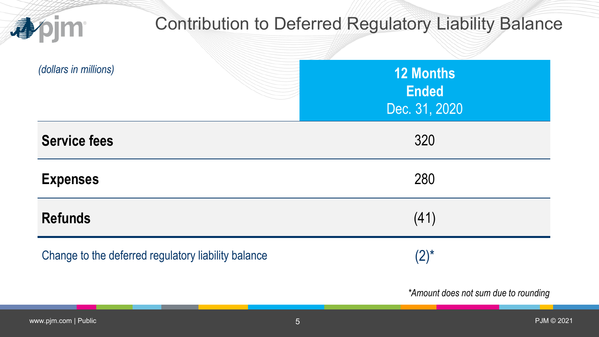| 誰                                                   | <b>Contribution to Deferred Regulatory Liability Balance</b> |
|-----------------------------------------------------|--------------------------------------------------------------|
| (dollars in millions)                               | <b>12 Months</b><br><b>Ended</b><br>Dec. 31, 2020            |
| <b>Service fees</b>                                 | 320                                                          |
| <b>Expenses</b>                                     | 280                                                          |
| <b>Refunds</b>                                      | (41)                                                         |
| Change to the deferred regulatory liability balance | $(2)^{*}$                                                    |
|                                                     | *Amount does not sum due to rounding                         |

E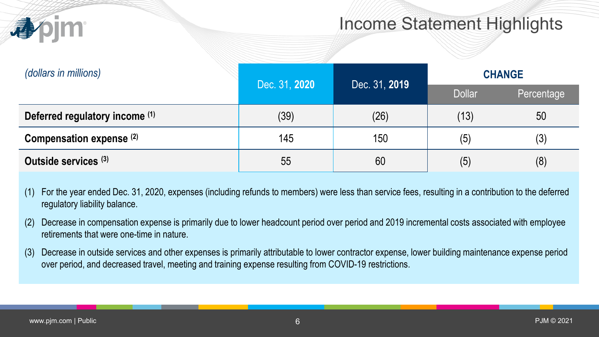

#### Income Statement Highlights

| (dollars in millions)          |               |               | <b>CHANGE</b> |            |
|--------------------------------|---------------|---------------|---------------|------------|
|                                | Dec. 31, 2020 | Dec. 31, 2019 | <b>Dollar</b> | Percentage |
| Deferred regulatory income (1) | (39)          | (26)          | (13)          | 50         |
| Compensation expense (2)       | 145           | 150           | (5)           | (3)        |
| Outside services (3)           | 55            | 60            | (5)           | (8)        |

- (1) For the year ended Dec. 31, 2020, expenses (including refunds to members) were less than service fees, resulting in a contribution to the deferred regulatory liability balance.
- (2) Decrease in compensation expense is primarily due to lower headcount period over period and 2019 incremental costs associated with employee retirements that were one-time in nature.
- (3) Decrease in outside services and other expenses is primarily attributable to lower contractor expense, lower building maintenance expense period over period, and decreased travel, meeting and training expense resulting from COVID-19 restrictions.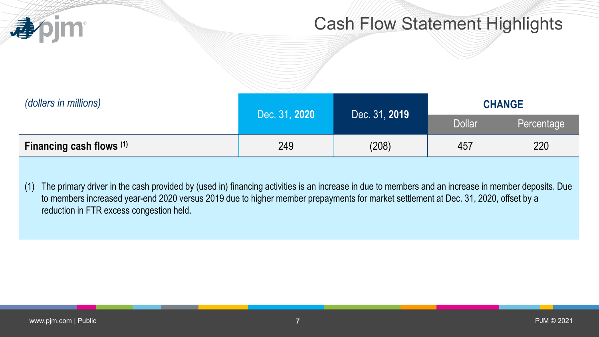

#### Cash Flow Statement Highlights

| (dollars in millions)    | Dec. 31, 2019<br>Dec. 31, 2020 | <b>CHANGE</b> |               |            |
|--------------------------|--------------------------------|---------------|---------------|------------|
|                          |                                |               | <b>Dollar</b> | Percentage |
| Financing cash flows (1) | 249                            | (208)         | 457           | 220        |

(1) The primary driver in the cash provided by (used in) financing activities is an increase in due to members and an increase in member deposits. Due to members increased year-end 2020 versus 2019 due to higher member prepayments for market settlement at Dec. 31, 2020, offset by a reduction in FTR excess congestion held.